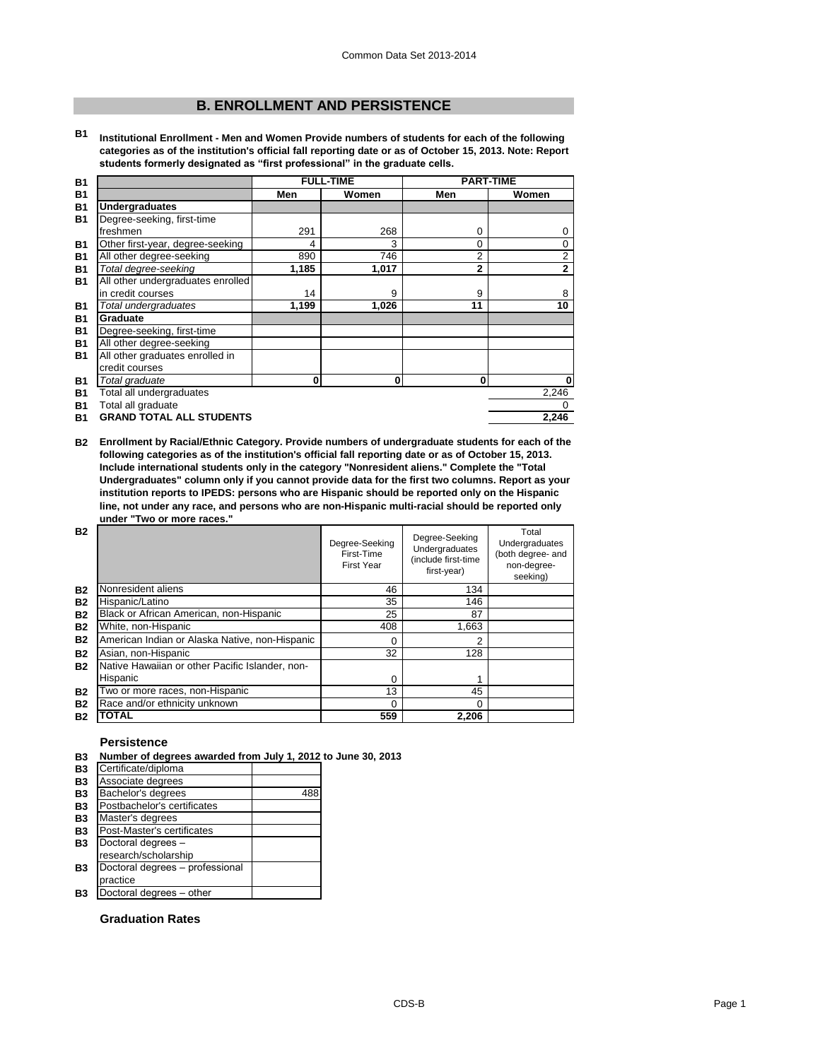# **B. ENROLLMENT AND PERSISTENCE**

**B1 Institutional Enrollment - Men and Women Provide numbers of students for each of the following categories as of the institution's official fall reporting date or as of October 15, 2013. Note: Report students formerly designated as "first professional" in the graduate cells.**

| <b>B1</b> |                                   | <b>FULL-TIME</b> |          | <b>PART-TIME</b> |              |
|-----------|-----------------------------------|------------------|----------|------------------|--------------|
| <b>B1</b> |                                   | Men              | Women    | Men              | Women        |
| <b>B1</b> | <b>Undergraduates</b>             |                  |          |                  |              |
| <b>B1</b> | Degree-seeking, first-time        |                  |          |                  |              |
|           | freshmen                          | 291              | 268      | 0                | 0            |
| <b>B1</b> | Other first-year, degree-seeking  | 4                | 3        | 0                | 0            |
| <b>B1</b> | All other degree-seeking          | 890              | 746      | 2                | 2            |
| <b>B1</b> | Total degree-seeking              | 1,185            | 1,017    | $\overline{2}$   | $\mathbf{2}$ |
| <b>B1</b> | All other undergraduates enrolled |                  |          |                  |              |
|           | in credit courses                 | 14               | 9        | 9                | 8            |
| <b>B1</b> | Total undergraduates              | 1,199            | 1,026    | 11               | 10           |
| <b>B1</b> | Graduate                          |                  |          |                  |              |
| <b>B1</b> | Degree-seeking, first-time        |                  |          |                  |              |
| <b>B1</b> | All other degree-seeking          |                  |          |                  |              |
| <b>B1</b> | All other graduates enrolled in   |                  |          |                  |              |
|           | credit courses                    |                  |          |                  |              |
| <b>B1</b> | Total graduate                    | 0                | $\bf{0}$ | 0                | $\mathbf{0}$ |
| <b>B1</b> | Total all undergraduates          |                  |          |                  | 2,246        |
| <b>B1</b> | Total all graduate                |                  |          |                  |              |
| <b>B1</b> | <b>GRAND TOTAL ALL STUDENTS</b>   |                  |          |                  | 2,246        |

**B2 Enrollment by Racial/Ethnic Category. Provide numbers of undergraduate students for each of the following categories as of the institution's official fall reporting date or as of October 15, 2013. Include international students only in the category "Nonresident aliens." Complete the "Total Undergraduates" column only if you cannot provide data for the first two columns. Report as your institution reports to IPEDS: persons who are Hispanic should be reported only on the Hispanic line, not under any race, and persons who are non-Hispanic multi-racial should be reported only under "Two or more races."** 

| <b>B2</b> |                                                 | Degree-Seeking<br>First-Time<br><b>First Year</b> | Degree-Seeking<br><b>Undergraduates</b><br>(include first-time<br>first-year) | Total<br>Undergraduates<br>(both degree- and<br>non-degree-<br>seeking) |
|-----------|-------------------------------------------------|---------------------------------------------------|-------------------------------------------------------------------------------|-------------------------------------------------------------------------|
| <b>B2</b> | Nonresident aliens                              | 46                                                | 134                                                                           |                                                                         |
| <b>B2</b> | Hispanic/Latino                                 | 35                                                | 146                                                                           |                                                                         |
| <b>B2</b> | Black or African American, non-Hispanic         | 25                                                | 87                                                                            |                                                                         |
| <b>B2</b> | White, non-Hispanic                             | 408                                               | 1,663                                                                         |                                                                         |
| <b>B2</b> | American Indian or Alaska Native, non-Hispanic  | $\Omega$                                          | 2                                                                             |                                                                         |
| <b>B2</b> | Asian, non-Hispanic                             | 32                                                | 128                                                                           |                                                                         |
| <b>B2</b> | Native Hawaiian or other Pacific Islander, non- |                                                   |                                                                               |                                                                         |
|           | Hispanic                                        | $\Omega$                                          |                                                                               |                                                                         |
| <b>B2</b> | Two or more races, non-Hispanic                 | 13                                                | 45                                                                            |                                                                         |
| <b>B2</b> | Race and/or ethnicity unknown                   | $\Omega$                                          | 0                                                                             |                                                                         |
| <b>B2</b> | <b>TOTAL</b>                                    | 559                                               | 2,206                                                                         |                                                                         |

### **Persistence**

|  | B3 Number of degrees awarded from July 1, 2012 to June 30, 2013 |  |
|--|-----------------------------------------------------------------|--|
|--|-----------------------------------------------------------------|--|

| B <sub>3</sub> | Certificate/diploma             |     |
|----------------|---------------------------------|-----|
| <b>B3</b>      | Associate degrees               |     |
| <b>B3</b>      | Bachelor's degrees              | 488 |
| <b>B3</b>      | Postbachelor's certificates     |     |
| <b>B3</b>      | Master's degrees                |     |
| <b>B3</b>      | Post-Master's certificates      |     |
| <b>B3</b>      | Doctoral degrees -              |     |
|                | research/scholarship            |     |
| <b>B3</b>      | Doctoral degrees - professional |     |
|                | practice                        |     |
| Β3             | Doctoral degrees - other        |     |
|                |                                 |     |

## **Graduation Rates**